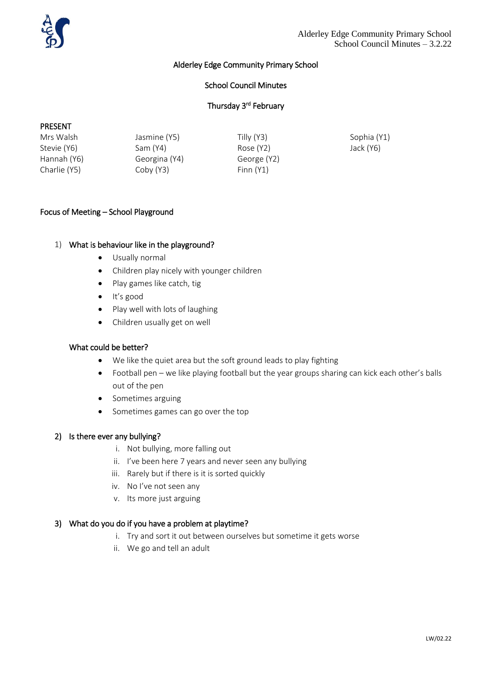

# Alderley Edge Community Primary School

# School Council Minutes

# Thursday 3<sup>rd</sup> February

#### PRESENT

| Mrs Walsh    | Jasmine (Y5)  | Tilly (Y3)  | Sophia (Y1) |
|--------------|---------------|-------------|-------------|
| Stevie (Y6)  | Sam (Y4)      | Rose (Y2)   | Jack (Y6)   |
| Hannah (Y6)  | Georgina (Y4) | George (Y2) |             |
| Charlie (Y5) | Coby (Y3)     | Finn (Y1)   |             |

### Focus of Meeting – School Playground

#### 1) What is behaviour like in the playground?

- Usually normal
- Children play nicely with younger children
- Play games like catch, tig
- It's good
- Play well with lots of laughing
- Children usually get on well

#### What could be better?

- We like the quiet area but the soft ground leads to play fighting
- Football pen we like playing football but the year groups sharing can kick each other's balls out of the pen
- Sometimes arguing
- Sometimes games can go over the top

# 2) Is there ever any bullying?

- i. Not bullying, more falling out
- ii. I've been here 7 years and never seen any bullying
- iii. Rarely but if there is it is sorted quickly
- iv. No I've not seen any
- v. Its more just arguing

### 3) What do you do if you have a problem at playtime?

- i. Try and sort it out between ourselves but sometime it gets worse
- ii. We go and tell an adult